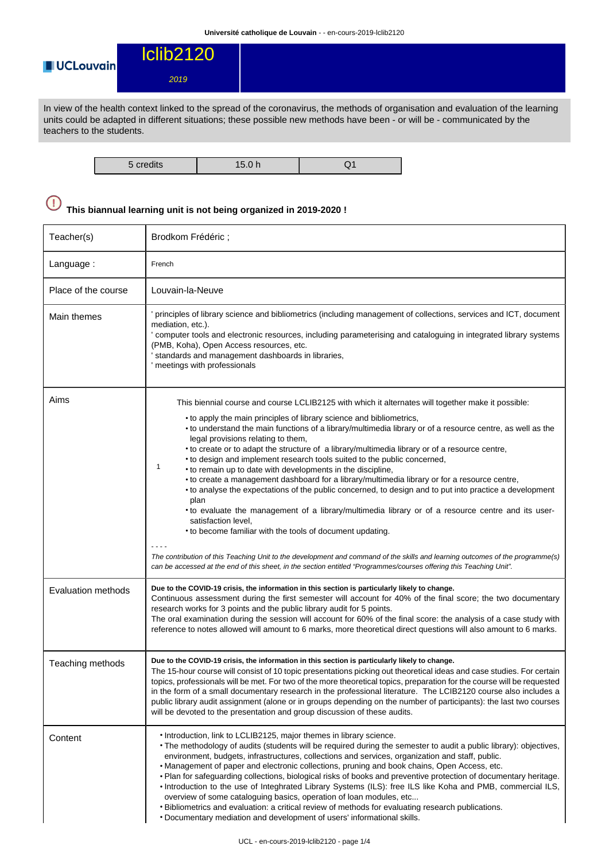

In view of the health context linked to the spread of the coronavirus, the methods of organisation and evaluation of the learning units could be adapted in different situations; these possible new methods have been - or will be - communicated by the teachers to the students.

| $\Gamma$ and disc<br>n 1<br>credits | . |  |
|-------------------------------------|---|--|

## $\bigcirc$ **This biannual learning unit is not being organized in 2019-2020 !**

| Teacher(s)          | Brodkom Frédéric;                                                                                                                                                                                                                                                                                                                                                                                                                                                                                                                                                                                                                                                                                                                                                                                                                                                                                                                                                                                                                                                                                                                                                                                                                                      |
|---------------------|--------------------------------------------------------------------------------------------------------------------------------------------------------------------------------------------------------------------------------------------------------------------------------------------------------------------------------------------------------------------------------------------------------------------------------------------------------------------------------------------------------------------------------------------------------------------------------------------------------------------------------------------------------------------------------------------------------------------------------------------------------------------------------------------------------------------------------------------------------------------------------------------------------------------------------------------------------------------------------------------------------------------------------------------------------------------------------------------------------------------------------------------------------------------------------------------------------------------------------------------------------|
| Language:           | French                                                                                                                                                                                                                                                                                                                                                                                                                                                                                                                                                                                                                                                                                                                                                                                                                                                                                                                                                                                                                                                                                                                                                                                                                                                 |
| Place of the course | Louvain-la-Neuve                                                                                                                                                                                                                                                                                                                                                                                                                                                                                                                                                                                                                                                                                                                                                                                                                                                                                                                                                                                                                                                                                                                                                                                                                                       |
| Main themes         | principles of library science and bibliometrics (including management of collections, services and ICT, document<br>mediation, etc.).<br>' computer tools and electronic resources, including parameterising and cataloguing in integrated library systems<br>(PMB, Koha), Open Access resources, etc.<br>standards and management dashboards in libraries,<br>meetings with professionals                                                                                                                                                                                                                                                                                                                                                                                                                                                                                                                                                                                                                                                                                                                                                                                                                                                             |
| Aims                | This biennial course and course LCLIB2125 with which it alternates will together make it possible:<br>• to apply the main principles of library science and bibliometrics,<br>• to understand the main functions of a library/multimedia library or of a resource centre, as well as the<br>legal provisions relating to them,<br>• to create or to adapt the structure of a library/multimedia library or of a resource centre,<br>• to design and implement research tools suited to the public concerned,<br>1<br>• to remain up to date with developments in the discipline,<br>• to create a management dashboard for a library/multimedia library or for a resource centre,<br>• to analyse the expectations of the public concerned, to design and to put into practice a development<br>plan<br>• to evaluate the management of a library/multimedia library or of a resource centre and its user-<br>satisfaction level,<br>• to become familiar with the tools of document updating.<br>The contribution of this Teaching Unit to the development and command of the skills and learning outcomes of the programme(s)<br>can be accessed at the end of this sheet, in the section entitled "Programmes/courses offering this Teaching Unit". |
| Evaluation methods  | Due to the COVID-19 crisis, the information in this section is particularly likely to change.<br>Continuous assessment during the first semester will account for 40% of the final score; the two documentary<br>research works for 3 points and the public library audit for 5 points.<br>The oral examination during the session will account for 60% of the final score: the analysis of a case study with<br>reference to notes allowed will amount to 6 marks, more theoretical direct questions will also amount to 6 marks.                                                                                                                                                                                                                                                                                                                                                                                                                                                                                                                                                                                                                                                                                                                     |
| Teaching methods    | Due to the COVID-19 crisis, the information in this section is particularly likely to change.<br>The 15-hour course will consist of 10 topic presentations picking out theoretical ideas and case studies. For certain<br>topics, professionals will be met. For two of the more theoretical topics, preparation for the course will be requested<br>in the form of a small documentary research in the professional literature. The LCIB2120 course also includes a<br>public library audit assignment (alone or in groups depending on the number of participants): the last two courses<br>will be devoted to the presentation and group discussion of these audits.                                                                                                                                                                                                                                                                                                                                                                                                                                                                                                                                                                                |
| Content             | . Introduction, link to LCLIB2125, major themes in library science.<br>• The methodology of audits (students will be required during the semester to audit a public library): objectives,<br>environment, budgets, infrastructures, collections and services, organization and staff, public.<br>• Management of paper and electronic collections, pruning and book chains, Open Access, etc.<br>. Plan for safeguarding collections, biological risks of books and preventive protection of documentary heritage.<br>. Introduction to the use of Integhrated Library Systems (ILS): free ILS like Koha and PMB, commercial ILS,<br>overview of some cataloguing basics, operation of loan modules, etc<br>. Bibliometrics and evaluation: a critical review of methods for evaluating research publications.<br>. Documentary mediation and development of users' informational skills.                                                                                                                                                                                                                                                                                                                                                              |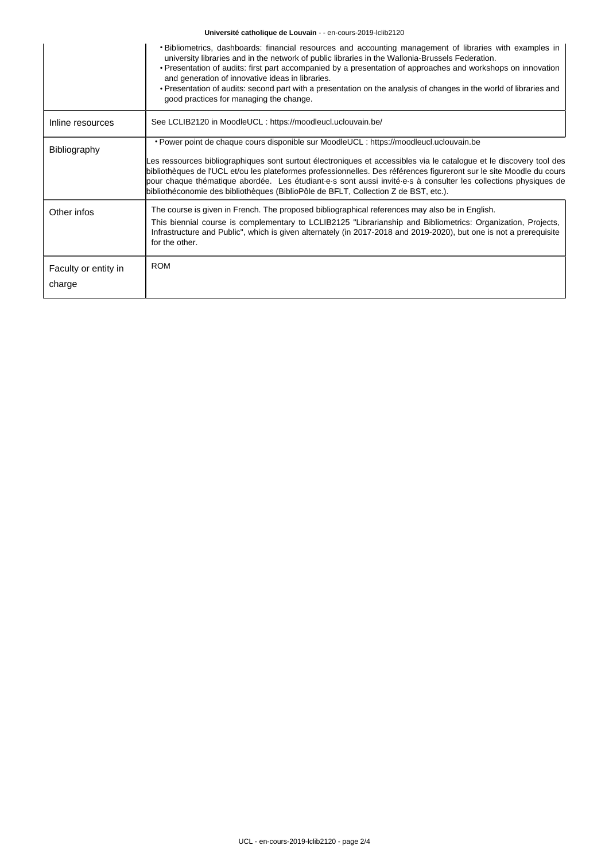## **Université catholique de Louvain** - - en-cours-2019-lclib2120

|                                | . Bibliometrics, dashboards: financial resources and accounting management of libraries with examples in<br>university libraries and in the network of public libraries in the Wallonia-Brussels Federation.<br>· Presentation of audits: first part accompanied by a presentation of approaches and workshops on innovation<br>and generation of innovative ideas in libraries.<br>• Presentation of audits: second part with a presentation on the analysis of changes in the world of libraries and<br>good practices for managing the change. |
|--------------------------------|---------------------------------------------------------------------------------------------------------------------------------------------------------------------------------------------------------------------------------------------------------------------------------------------------------------------------------------------------------------------------------------------------------------------------------------------------------------------------------------------------------------------------------------------------|
| Inline resources               | See LCLIB2120 in MoodleUCL : https://moodleucl.uclouvain.be/                                                                                                                                                                                                                                                                                                                                                                                                                                                                                      |
| Bibliography                   | • Power point de chaque cours disponible sur MoodleUCL : https://moodleucl.uclouvain.be<br>Les ressources bibliographiques sont surtout électroniques et accessibles via le catalogue et le discovery tool des<br>bibliothèques de l'UCL et/ou les plateformes professionnelles. Des références figureront sur le site Moodle du cours<br>pour chaque thématique abordée. Les étudiant e-s sont aussi invité-e-s à consulter les collections physiques de<br>bibliothéconomie des bibliothèques (BiblioPôle de BFLT, Collection Z de BST, etc.).  |
| Other infos                    | The course is given in French. The proposed bibliographical references may also be in English.<br>This biennial course is complementary to LCLIB2125 "Librarianship and Bibliometrics: Organization, Projects,<br>Infrastructure and Public", which is given alternately (in 2017-2018 and 2019-2020), but one is not a prerequisite<br>for the other.                                                                                                                                                                                            |
| Faculty or entity in<br>charge | <b>ROM</b>                                                                                                                                                                                                                                                                                                                                                                                                                                                                                                                                        |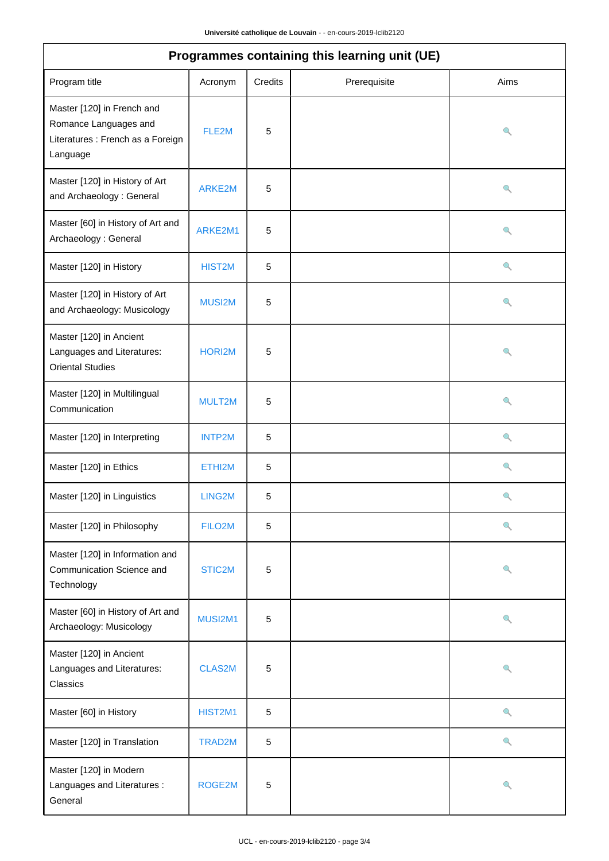| Programmes containing this learning unit (UE)                                                        |               |             |              |      |  |  |
|------------------------------------------------------------------------------------------------------|---------------|-------------|--------------|------|--|--|
| Program title                                                                                        | Acronym       | Credits     | Prerequisite | Aims |  |  |
| Master [120] in French and<br>Romance Languages and<br>Literatures : French as a Foreign<br>Language | FLE2M         | 5           |              | Q    |  |  |
| Master [120] in History of Art<br>and Archaeology: General                                           | ARKE2M        | 5           |              | ۹    |  |  |
| Master [60] in History of Art and<br>Archaeology: General                                            | ARKE2M1       | 5           |              | Q    |  |  |
| Master [120] in History                                                                              | HIST2M        | 5           |              | Q    |  |  |
| Master [120] in History of Art<br>and Archaeology: Musicology                                        | MUSI2M        | 5           |              | Q    |  |  |
| Master [120] in Ancient<br>Languages and Literatures:<br><b>Oriental Studies</b>                     | HORI2M        | 5           |              | Q    |  |  |
| Master [120] in Multilingual<br>Communication                                                        | MULT2M        | 5           |              | Q    |  |  |
| Master [120] in Interpreting                                                                         | <b>INTP2M</b> | $\,$ 5 $\,$ |              | Q    |  |  |
| Master [120] in Ethics                                                                               | ETHI2M        | 5           |              | Q    |  |  |
| Master [120] in Linguistics                                                                          | LING2M        | 5           |              | Q    |  |  |
| Master [120] in Philosophy                                                                           | FILO2M        | 5           |              | Q    |  |  |
| Master [120] in Information and<br>Communication Science and<br>Technology                           | STIC2M        | 5           |              | Q    |  |  |
| Master [60] in History of Art and<br>Archaeology: Musicology                                         | MUSI2M1       | 5           |              | Q    |  |  |
| Master [120] in Ancient<br>Languages and Literatures:<br>Classics                                    | <b>CLAS2M</b> | 5           |              | Q    |  |  |
| Master [60] in History                                                                               | HIST2M1       | 5           |              | Q    |  |  |
| Master [120] in Translation                                                                          | TRAD2M        | 5           |              | Q    |  |  |
| Master [120] in Modern<br>Languages and Literatures :<br>General                                     | ROGE2M        | 5           |              | Q    |  |  |